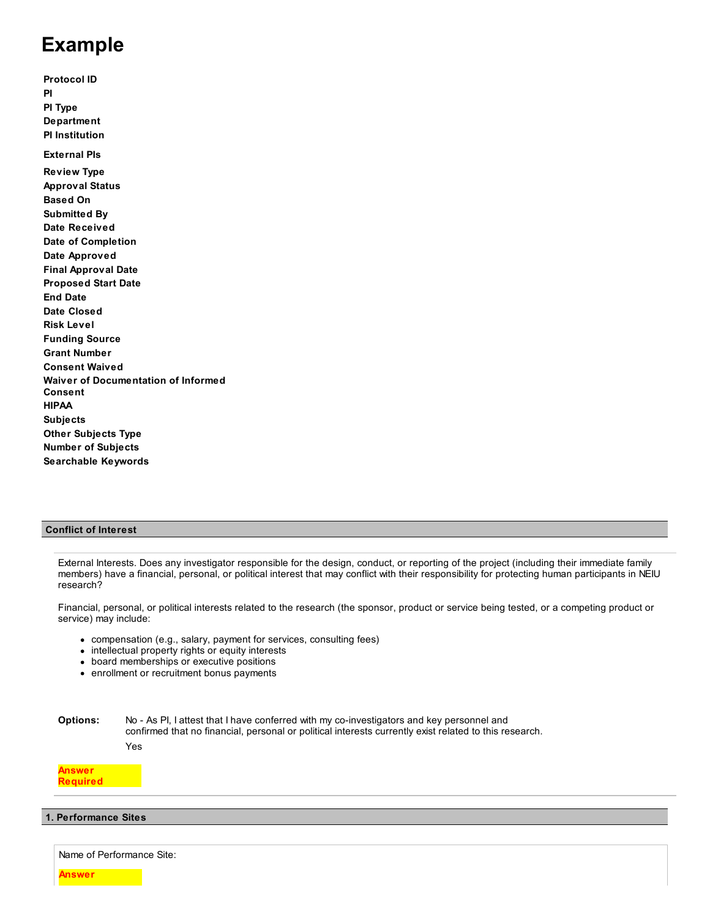# **Example**

**Protocol ID PI PI Type Department PI Institution External PIs Review Type Approval Status Based On Submitted By Date Received Date of Completion Date Approved Final Approval Date Proposed Start Date End Date Date Closed Risk Level Funding Source Grant Number Consent Waived Waiver of Documentation of Informed Consent HIPAA Subjects Other Subjects Type Number of Subjects Searchable Keywords**

## **Conflict of Interest**

External Interests. Does any investigator responsible for the design, conduct, or reporting of the project (including their immediate family members) have a financial, personal, or political interest that may conflict with their responsibility for protecting human participants in NEIU research?

Financial, personal, or political interests related to the research (the sponsor, product or service being tested, or a competing product or service) may include:

- compensation (e.g., salary, payment for services, consulting fees)
- intellectual property rights or equity interests
- board memberships or executive positions
- enrollment or recruitment bonus payments

**Options:** No - As PI, I attest that I have conferred with my co-investigators and key personnel and confirmed that no financial, personal or political interests currently exist related to this research. Yes

## **Answer Required**

## **1. Performance Sites**

Name of Performance Site:

**Answer**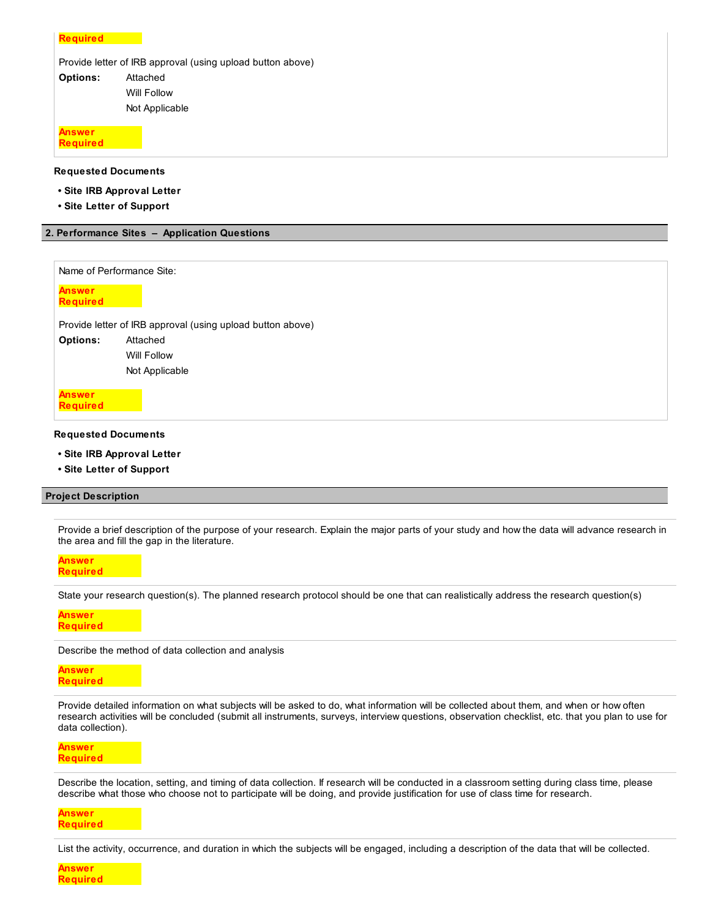| <b>Required</b>           |                                                            |
|---------------------------|------------------------------------------------------------|
|                           | Provide letter of IRB approval (using upload button above) |
| <b>Options:</b>           | Attached                                                   |
|                           | Will Follow                                                |
|                           | Not Applicable                                             |
| Answer<br><b>Required</b> |                                                            |

**Requested Documents**

- **Site IRB Approval Letter**
- **Site Letter of Support**

## **2. Performance Sites – Application Questions**

|                                  | Name of Performance Site:                                  |
|----------------------------------|------------------------------------------------------------|
| <b>Answer</b><br><b>Required</b> |                                                            |
|                                  | Provide letter of IRB approval (using upload button above) |
| <b>Options:</b>                  | Attached                                                   |
|                                  | Will Follow                                                |
|                                  | Not Applicable                                             |
| <b>Answer</b><br><b>Required</b> |                                                            |
| <b>Requested Documents</b>       |                                                            |

- **Site IRB Approval Letter**
- **Site Letter of Support**

## **Project Description**

Provide a brief description of the purpose of your research. Explain the major parts of your study and how the data will advance research in the area and fill the gap in the literature.

**Answer Required**

State your research question(s). The planned research protocol should be one that can realistically address the research question(s)

#### **Answer Required**

Describe the method of data collection and analysis

**Answer Required**

Provide detailed information on what subjects will be asked to do, what information will be collected about them, and when or how often research activities will be concluded (submit all instruments, surveys, interview questions, observation checklist, etc. that you plan to use for data collection).

**Answer Required**

Describe the location, setting, and timing of data collection. If research will be conducted in a classroom setting during class time, please describe what those who choose not to participate will be doing, and provide justification for use of class time for research.

**Answer Required**

List the activity, occurrence, and duration in which the subjects will be engaged, including a description of the data that will be collected.

**Answer Required**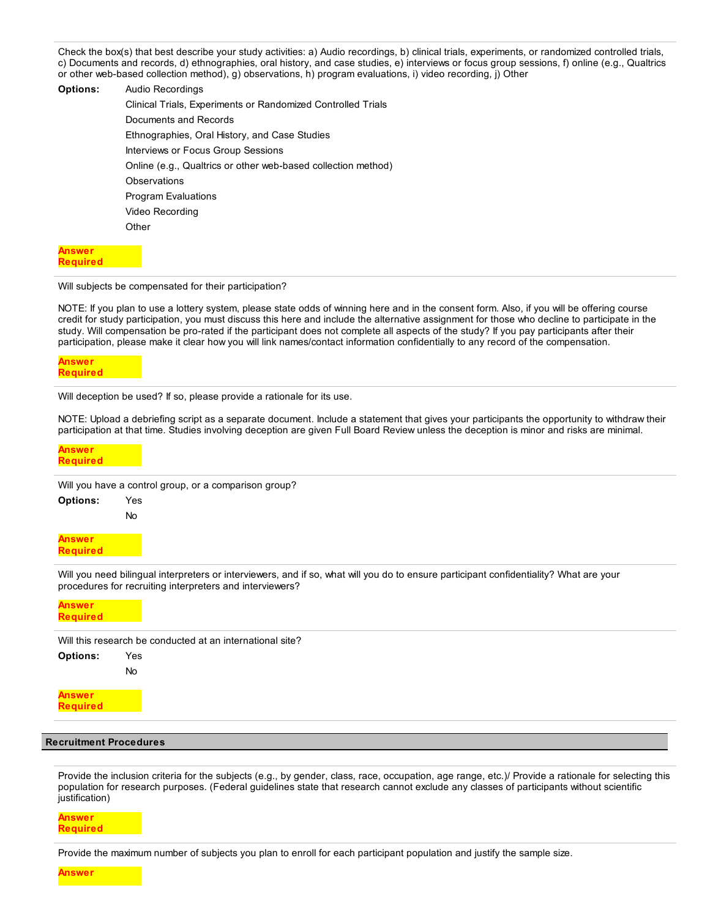Check the box(s) that best describe your study activities: a) Audio recordings, b) clinical trials, experiments, or randomized controlled trials, c) Documents and records, d) ethnographies, oral history, and case studies, e) interviews or focus group sessions, f) online (e.g., Qualtrics or other web-based collection method), g) observations, h) program evaluations, i) video recording, j) Other

| <b>Options:</b> | Audio Recordings                                              |
|-----------------|---------------------------------------------------------------|
|                 | Clinical Trials, Experiments or Randomized Controlled Trials  |
|                 | Documents and Records                                         |
|                 | Ethnographies, Oral History, and Case Studies                 |
|                 | Interviews or Focus Group Sessions                            |
|                 | Online (e.g., Qualtrics or other web-based collection method) |
|                 | Observations                                                  |
|                 | <b>Program Evaluations</b>                                    |
|                 | Video Recording                                               |
|                 | Other                                                         |
|                 |                                                               |

#### **Answer Required**

#### Will subjects be compensated for their participation?

NOTE: If you plan to use a lottery system, please state odds of winning here and in the consent form. Also, if you will be offering course credit for study participation, you must discuss this here and include the alternative assignment for those who decline to participate in the study. Will compensation be pro-rated if the participant does not complete all aspects of the study? If you pay participants after their participation, please make it clear how you will link names/contact information confidentially to any record of the compensation.

#### **Answer Required**

Will deception be used? If so, please provide a rationale for its use.

NOTE: Upload a debriefing script as a separate document. Include a statement that gives your participants the opportunity to withdraw their participation at that time. Studies involving deception are given Full Board Review unless the deception is minor and risks are minimal.

#### **Answer Required**

Will you have a control group, or a comparison group?

| <b>Options:</b> | Yes |
|-----------------|-----|
|                 | No  |
|                 |     |

**Answer Required**

Will you need bilingual interpreters or interviewers, and if so, what will you do to ensure participant confidentiality? What are your procedures for recruiting interpreters and interviewers?

| <b>Answer</b><br>Required |                                                           |
|---------------------------|-----------------------------------------------------------|
|                           | Will this research be conducted at an international site? |
| <b>Options:</b>           | Yes                                                       |
|                           | <b>No</b>                                                 |
| Answer<br>Required        |                                                           |

#### **Recruitment Procedures**

Provide the inclusion criteria for the subjects (e.g., by gender, class, race, occupation, age range, etc.)/ Provide a rationale for selecting this population for research purposes. (Federal guidelines state that research cannot exclude any classes of participants without scientific justification)

**Answer Required**

Provide the maximum number of subjects you plan to enroll for each participant population and justify the sample size.

**Answer**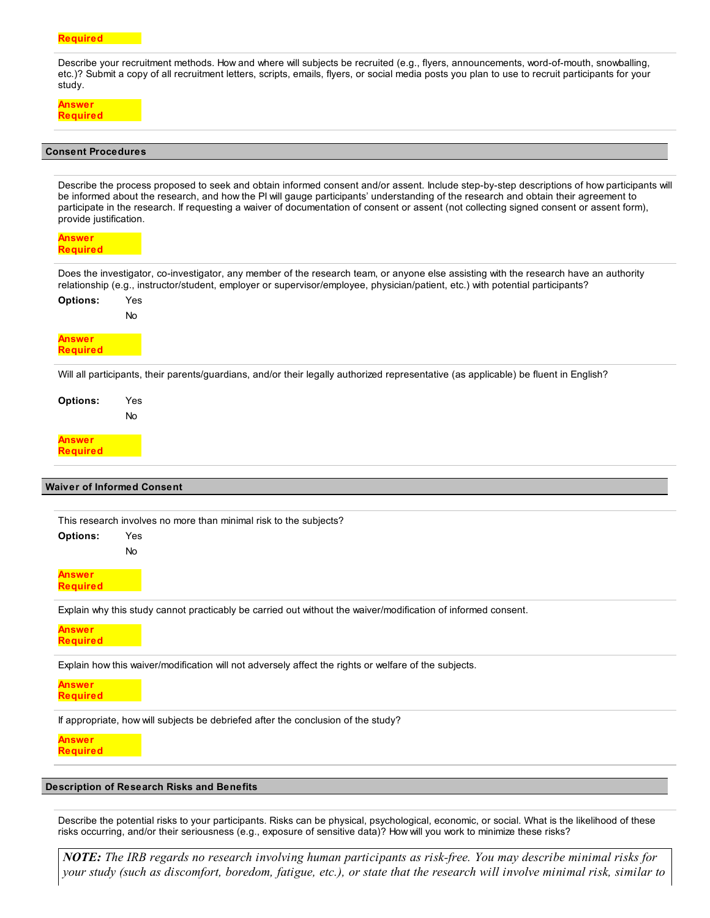#### **Required**

Describe your recruitment methods. How and where will subjects be recruited (e.g., flyers, announcements, word-of-mouth, snowballing, etc.)? Submit a copy of all recruitment letters, scripts, emails, flyers, or social media posts you plan to use to recruit participants for your study.

| <b>Redulfed</b> |
|-----------------|

#### **Consent Procedures**

**Options:** Yes No **Options:** Yes No **Options:** Yes No Describe the process proposed to seek and obtain informed consent and/or assent. Include step-by-step descriptions of how participants will be informed about the research, and how the PI will gauge participants' understanding of the research and obtain their agreement to participate in the research. If requesting a waiver of documentation of consent or assent (not collecting signed consent or assent form), provide justification. **Answer Required** Does the investigator, co-investigator, any member of the research team, or anyone else assisting with the research have an authority relationship (e.g., instructor/student, employer or supervisor/employee, physician/patient, etc.) with potential participants? **Answer Required** Will all participants, their parents/guardians, and/or their legally authorized representative (as applicable) be fluent in English? **Answer Required Waiver of Informed Consent** This research involves no more than minimal risk to the subjects? **Answer Required**

Explain why this study cannot practicably be carried out without the waiver/modification of informed consent.

**Answer Required**

Explain how this waiver/modification will not adversely affect the rights or welfare of the subjects.

**Answer Required**

If appropriate, how will subjects be debriefed after the conclusion of the study?

**Answer Required**

**Description of Research Risks and Benefits**

Describe the potential risks to your participants. Risks can be physical, psychological, economic, or social. What is the likelihood of these risks occurring, and/or their seriousness (e.g., exposure of sensitive data)? How will you work to minimize these risks?

*NOTE: The IRB regards no research involving human participants as risk-free. You may describe minimal risks for your study (such as discomfort, boredom, fatigue, etc.), or state that the research will involve minimal risk, similar to*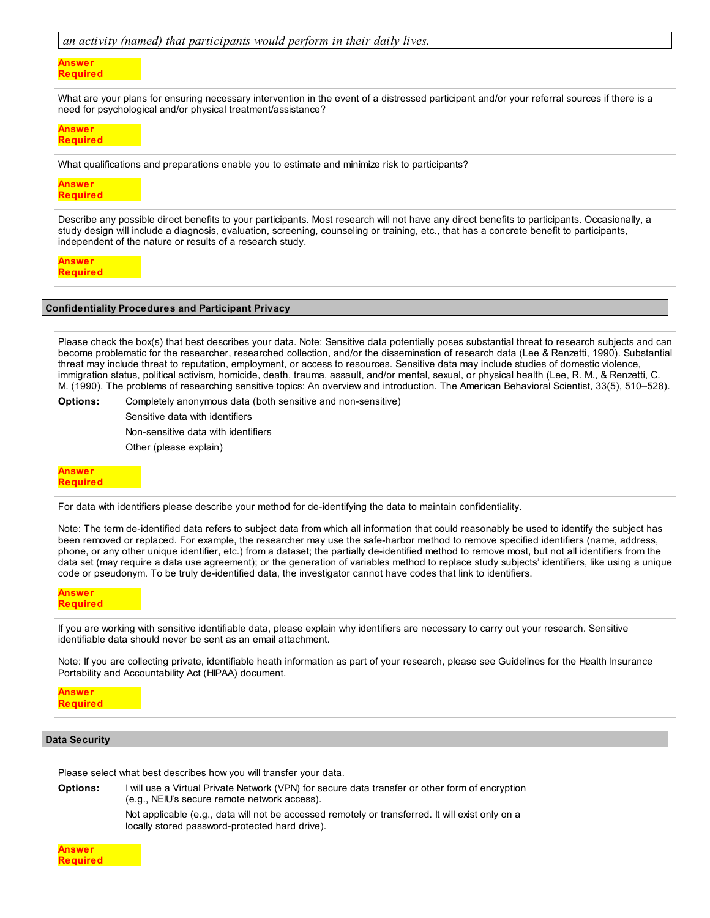#### **Answer Required**

What are your plans for ensuring necessary intervention in the event of a distressed participant and/or your referral sources if there is a need for psychological and/or physical treatment/assistance?

## **Answer Required**

What qualifications and preparations enable you to estimate and minimize risk to participants?

#### **Answer Required**

Describe any possible direct benefits to your participants. Most research will not have any direct benefits to participants. Occasionally, a study design will include a diagnosis, evaluation, screening, counseling or training, etc., that has a concrete benefit to participants, independent of the nature or results of a research study.

**Answer Required**

#### **Confidentiality Procedures and Participant Privacy**

Please check the box(s) that best describes your data. Note: Sensitive data potentially poses substantial threat to research subjects and can become problematic for the researcher, researched collection, and/or the dissemination of research data (Lee & Renzetti, 1990). Substantial threat may include threat to reputation, employment, or access to resources. Sensitive data may include studies of domestic violence, immigration status, political activism, homicide, death, trauma, assault, and/or mental, sexual, or physical health (Lee, R. M., & Renzetti, C. M. (1990). The problems of researching sensitive topics: An overview and introduction. The American Behavioral Scientist, 33(5), 510–528).

**Options:** Completely anonymous data (both sensitive and non-sensitive)

Sensitive data with identifiers Non-sensitive data with identifiers Other (please explain)

## **Answer Required**

For data with identifiers please describe your method for de-identifying the data to maintain confidentiality.

Note: The term de-identified data refers to subject data from which all information that could reasonably be used to identify the subject has been removed or replaced. For example, the researcher may use the safe-harbor method to remove specified identifiers (name, address, phone, or any other unique identifier, etc.) from a dataset; the partially de-identified method to remove most, but not all identifiers from the data set (may require a data use agreement); or the generation of variables method to replace study subjects' identifiers, like using a unique code or pseudonym. To be truly de-identified data, the investigator cannot have codes that link to identifiers.

## **Answer Required**

If you are working with sensitive identifiable data, please explain why identifiers are necessary to carry out your research. Sensitive identifiable data should never be sent as an email attachment.

Note: If you are collecting private, identifiable heath information as part of your research, please see Guidelines for the Health Insurance Portability and Accountability Act (HIPAA) document.

**Answer Required**

## **Data Security**

Please select what best describes how you will transfer your data.

**Options:** I will use a Virtual Private Network (VPN) for secure data transfer or other form of encryption (e.g., NEIU's secure remote network access). Not applicable (e.g., data will not be accessed remotely or transferred. It will exist only on a locally stored password-protected hard drive).

**Answer Required**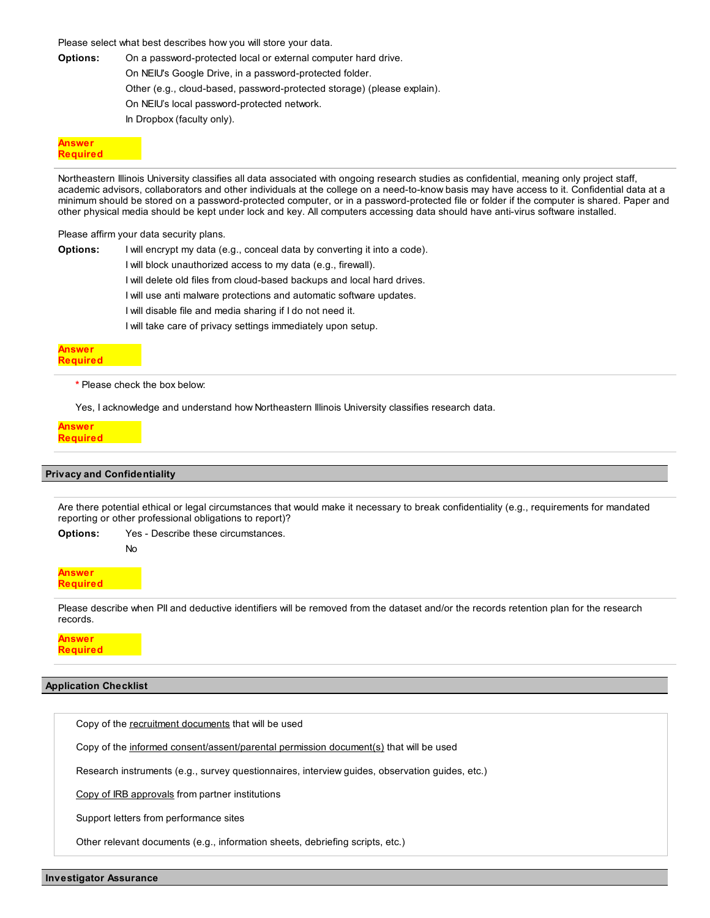Please select what best describes how you will store your data.

**Options:** On a password-protected local or external computer hard drive.

On NEIU's Google Drive, in a password-protected folder.

Other (e.g., cloud-based, password-protected storage) (please explain).

On NEIU's local password-protected network.

In Dropbox (faculty only).

#### **Answer Required**

Northeastern Illinois University classifies all data associated with ongoing research studies as confidential, meaning only project staff, academic advisors, collaborators and other individuals at the college on a need-to-know basis may have access to it. Confidential data at a minimum should be stored on a password-protected computer, or in a password-protected file or folder if the computer is shared. Paper and other physical media should be kept under lock and key. All computers accessing data should have anti-virus software installed.

Please affirm your data security plans.

| Options: | I will encrypt my data (e.g., conceal data by converting it into a code). |
|----------|---------------------------------------------------------------------------|
|          | I will block unauthorized access to my data (e.g., firewall).             |
|          | I will delete old files from cloud-based backups and local hard drives.   |
|          | I will use anti malware protections and automatic software updates.       |
|          | I will disable file and media sharing if I do not need it.                |
|          | I will take care of privacy settings immediately upon setup.              |
|          |                                                                           |

#### **Answer Required**

**\*** Please check the box below:

Yes, I acknowledge and understand how Northeastern Illinois University classifies research data.

## **Answer Required**

## **Privacy and Confidentiality**

No

Are there potential ethical or legal circumstances that would make it necessary to break confidentiality (e.g., requirements for mandated reporting or other professional obligations to report)?

**Options:** Yes - Describe these circumstances.

**Answer Required**

Please describe when PII and deductive identifiers will be removed from the dataset and/or the records retention plan for the research records.

**Answer Required**

## **Application Checklist**

Copy of the recruitment documents that will be used

Copy of the informed consent/assent/parental permission document(s) that will be used

Research instruments (e.g., survey questionnaires, interview guides, observation guides, etc.)

Copy of IRB approvals from partner institutions

Support letters from performance sites

Other relevant documents (e.g., information sheets, debriefing scripts, etc.)